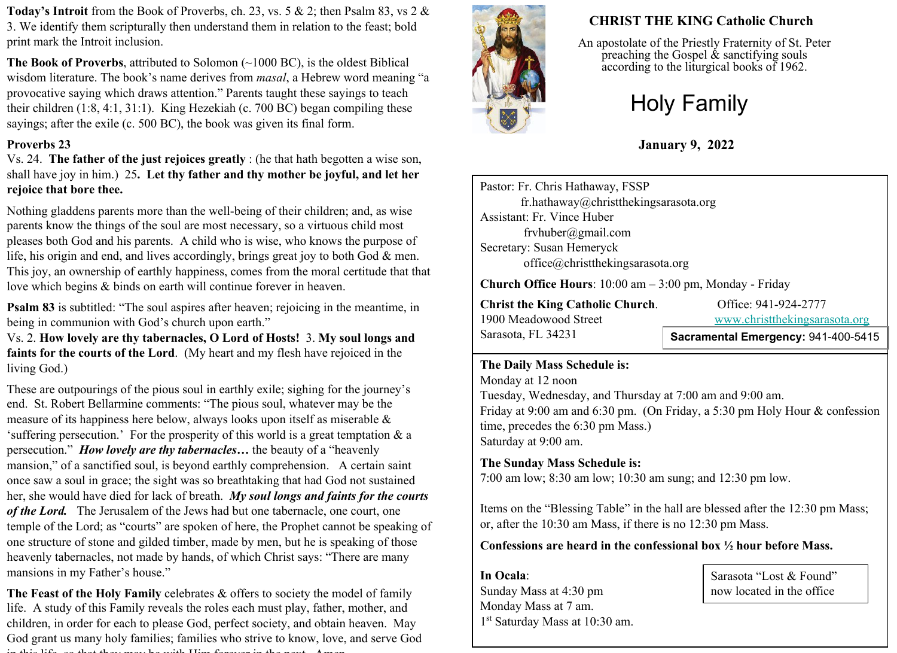**Today's Introit** from the Book of Proverbs, ch. 23, vs. 5 & 2; then Psalm 83, vs 2 & 3. We identify them scripturally then understand them in relation to the feast; bold print mark the Introit inclusion.

**The Book of Proverbs**, attributed to Solomon (~1000 BC), is the oldest Biblical wisdom literature. The book's name derives from *masal*, a Hebrew word meaning "a provocative saying which draws attention." Parents taught these sayings to teach their children (1:8, 4:1, 31:1). King Hezekiah (c. 700 BC) began compiling these sayings; after the exile (c. 500 BC), the book was given its final form.

#### **Proverbs 23**

Vs. 24. **The father of the just rejoices greatly** : (he that hath begotten a wise son, shall have joy in him.) 25**. Let thy father and thy mother be joyful, and let her rejoice that bore thee.** 

Nothing gladdens parents more than the well-being of their children; and, as wise parents know the things of the soul are most necessary, so a virtuous child most pleases both God and his parents. A child who is wise, who knows the purpose of life, his origin and end, and lives accordingly, brings great joy to both God & men. This joy, an ownership of earthly happiness, comes from the moral certitude that that love which begins & binds on earth will continue forever in heaven.

**Psalm 83** is subtitled: "The soul aspires after heaven; rejoicing in the meantime, in being in communion with God's church upon earth."

Vs. 2. **How lovely are thy tabernacles, O Lord of Hosts!** 3. **My soul longs and faints for the courts of the Lord**. (My heart and my flesh have rejoiced in the living God.)

These are outpourings of the pious soul in earthly exile; sighing for the journey's end. St. Robert Bellarmine comments: "The pious soul, whatever may be the measure of its happiness here below, always looks upon itself as miserable & 'suffering persecution.' For the prosperity of this world is a great temptation & a persecution." *How lovely are thy tabernacles…* the beauty of a "heavenly mansion," of a sanctified soul, is beyond earthly comprehension. A certain saint once saw a soul in grace; the sight was so breathtaking that had God not sustained her, she would have died for lack of breath. *My soul longs and faints for the courts of the Lord.* The Jerusalem of the Jews had but one tabernacle, one court, one temple of the Lord; as "courts" are spoken of here, the Prophet cannot be speaking of one structure of stone and gilded timber, made by men, but he is speaking of those heavenly tabernacles, not made by hands, of which Christ says: "There are many mansions in my Father's house."

**The Feast of the Holy Family** celebrates & offers to society the model of family life. A study of this Family reveals the roles each must play, father, mother, and children, in order for each to please God, perfect society, and obtain heaven. May God grant us many holy families; families who strive to know, love, and serve God in this life, so that they may be with Him for the next. Amen. Amen. Amen. Amen. Amen. Amen. Amen. Amen. Amen.



# **CHRIST THE KING Catholic Church**

An apostolate of the Priestly Fraternity of St. Peter preaching the Gospel  $\&$  sanctifying souls according to the liturgical books of 1962.

# Holy Family

**January 9, 2022**

Pastor: Fr. Chris Hathaway, FSSP fr.hathaway@christthekingsarasota.org Assistant: Fr. Vince Huber frvhuber@gmail.com Secretary: Susan Hemeryck office@christthekingsarasota.org

**Church Office Hours**: 10:00 am – 3:00 pm, Monday - Friday

**Christ the King Catholic Church.** Office: 941-924-2777 1900 Meadowood Street [www.christthekingsarasota.org](http://www.christthekingsarasota.org/) Sarasota, FL 34231

**Sacramental Emergency:** 941-400-5415

#### **The Daily Mass Schedule is:**

Monday at 12 noon Tuesday, Wednesday, and Thursday at 7:00 am and 9:00 am. Friday at 9:00 am and 6:30 pm. (On Friday, a 5:30 pm Holy Hour & confession time, precedes the 6:30 pm Mass.) Saturday at 9:00 am.

### **The Sunday Mass Schedule is:**

7:00 am low; 8:30 am low; 10:30 am sung; and 12:30 pm low.

Items on the "Blessing Table" in the hall are blessed after the 12:30 pm Mass; or, after the 10:30 am Mass, if there is no 12:30 pm Mass.

**Confessions are heard in the confessional box ½ hour before Mass.** 

**In Ocala**: Sunday Mass at 4:30 pm Monday Mass at 7 am. 1 st Saturday Mass at 10:30 am.

Sarasota "Lost & Found" now located in the office